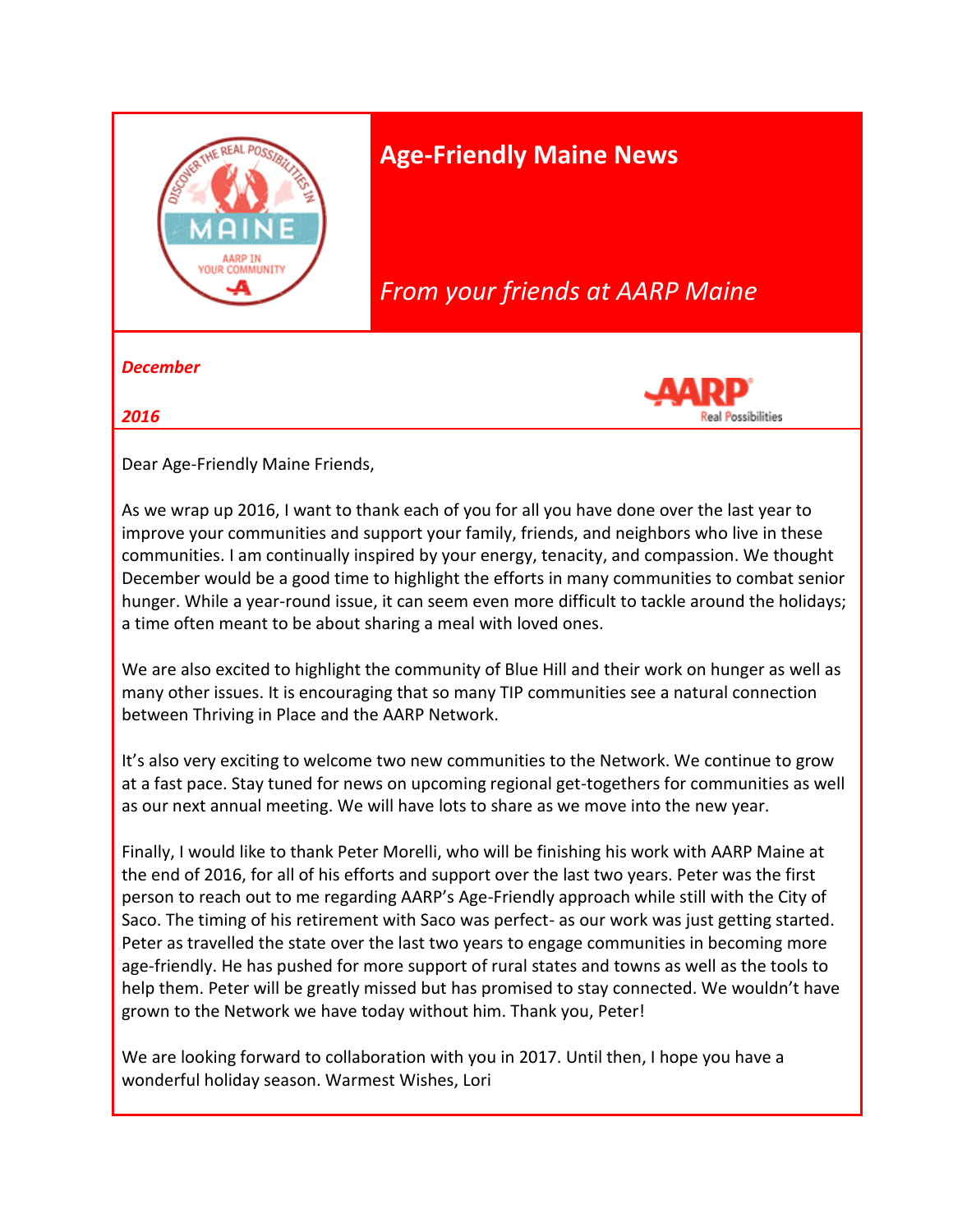

# **Age-Friendly Maine News**

# *From your friends at AARP Maine*

*December* 

*2016* 



Dear Age-Friendly Maine Friends,

As we wrap up 2016, I want to thank each of you for all you have done over the last year to improve your communities and support your family, friends, and neighbors who live in these communities. I am continually inspired by your energy, tenacity, and compassion. We thought December would be a good time to highlight the efforts in many communities to combat senior hunger. While a year-round issue, it can seem even more difficult to tackle around the holidays; a time often meant to be about sharing a meal with loved ones.

We are also excited to highlight the community of Blue Hill and their work on hunger as well as many other issues. It is encouraging that so many TIP communities see a natural connection between Thriving in Place and the AARP Network.

It's also very exciting to welcome two new communities to the Network. We continue to grow at a fast pace. Stay tuned for news on upcoming regional get-togethers for communities as well as our next annual meeting. We will have lots to share as we move into the new year.

Finally, I would like to thank Peter Morelli, who will be finishing his work with AARP Maine at the end of 2016, for all of his efforts and support over the last two years. Peter was the first person to reach out to me regarding AARP's Age-Friendly approach while still with the City of Saco. The timing of his retirement with Saco was perfect- as our work was just getting started. Peter as travelled the state over the last two years to engage communities in becoming more age-friendly. He has pushed for more support of rural states and towns as well as the tools to help them. Peter will be greatly missed but has promised to stay connected. We wouldn't have grown to the Network we have today without him. Thank you, Peter!

We are looking forward to collaboration with you in 2017. Until then, I hope you have a wonderful holiday season. Warmest Wishes, Lori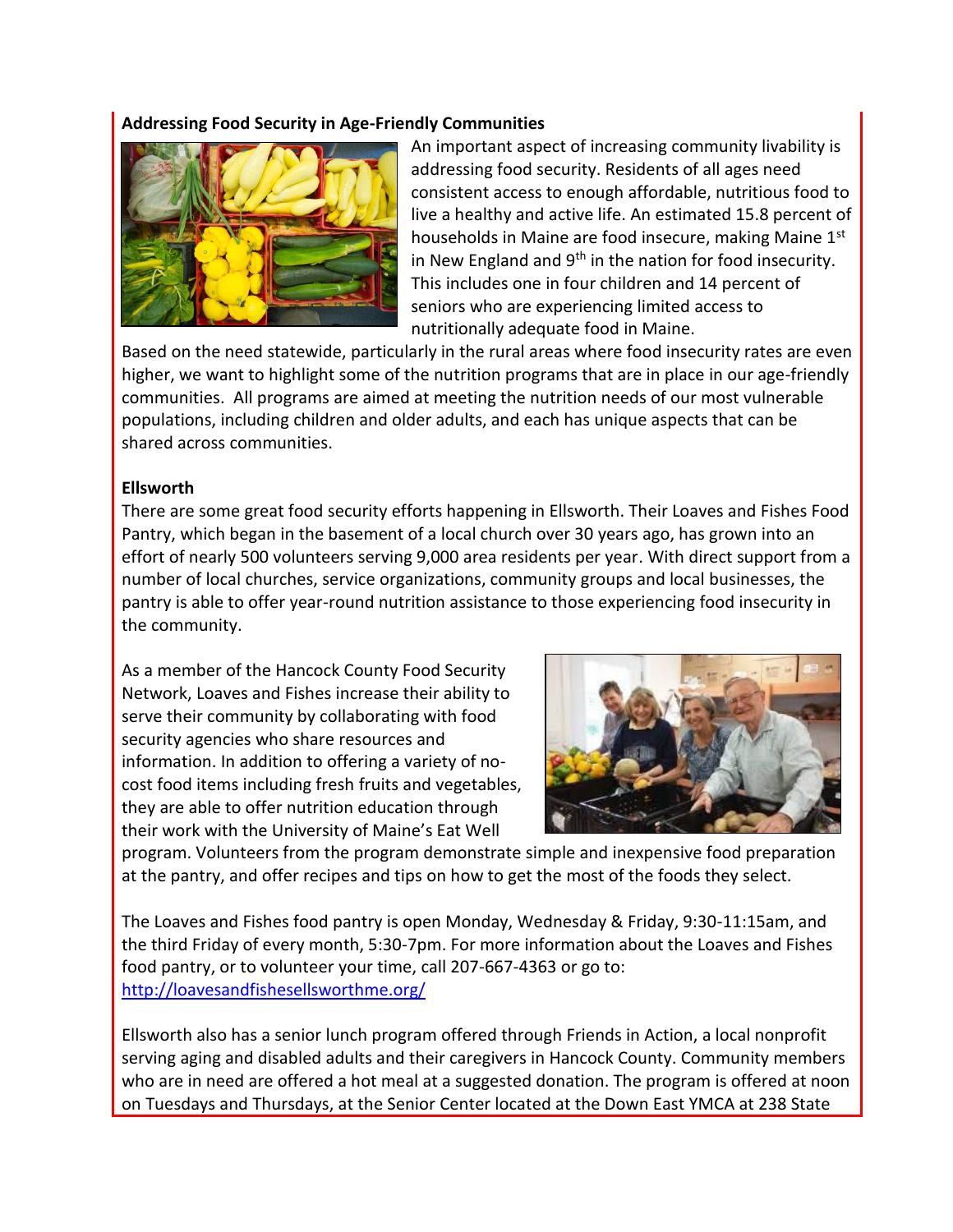#### **Addressing Food Security in Age-Friendly Communities**



An important aspect of increasing community livability is addressing food security. Residents of all ages need consistent access to enough affordable, nutritious food to live a healthy and active life. An estimated 15.8 percent of households in Maine are food insecure, making Maine 1<sup>st</sup> in New England and  $9<sup>th</sup>$  in the nation for food insecurity. This includes one in four children and 14 percent of seniors who are experiencing limited access to nutritionally adequate food in Maine.

Based on the need statewide, particularly in the rural areas where food insecurity rates are even higher, we want to highlight some of the nutrition programs that are in place in our age-friendly communities. All programs are aimed at meeting the nutrition needs of our most vulnerable populations, including children and older adults, and each has unique aspects that can be shared across communities.

#### **Ellsworth**

There are some great food security efforts happening in Ellsworth. Their Loaves and Fishes Food Pantry, which began in the basement of a local church over 30 years ago, has grown into an effort of nearly 500 volunteers serving 9,000 area residents per year. With direct support from a number of local churches, service organizations, community groups and local businesses, the pantry is able to offer year-round nutrition assistance to those experiencing food insecurity in the community.

As a member of the Hancock County Food Security Network, Loaves and Fishes increase their ability to serve their community by collaborating with food security agencies who share resources and information. In addition to offering a variety of nocost food items including fresh fruits and vegetables, they are able to offer nutrition education through their work with the University of Maine's Eat Well



program. Volunteers from the program demonstrate simple and inexpensive food preparation at the pantry, and offer recipes and tips on how to get the most of the foods they select.

The Loaves and Fishes food pantry is open Monday, Wednesday & Friday, 9:30-11:15am, and the third Friday of every month, 5:30-7pm. For more information about the Loaves and Fishes food pantry, or to volunteer your time, call 207-667-4363 or go to: <http://loavesandfishesellsworthme.org/>

Ellsworth also has a senior lunch program offered through Friends in Action, a local nonprofit serving aging and disabled adults and their caregivers in Hancock County. Community members who are in need are offered a hot meal at a suggested donation. The program is offered at noon on Tuesdays and Thursdays, at the Senior Center located at the Down East YMCA at 238 State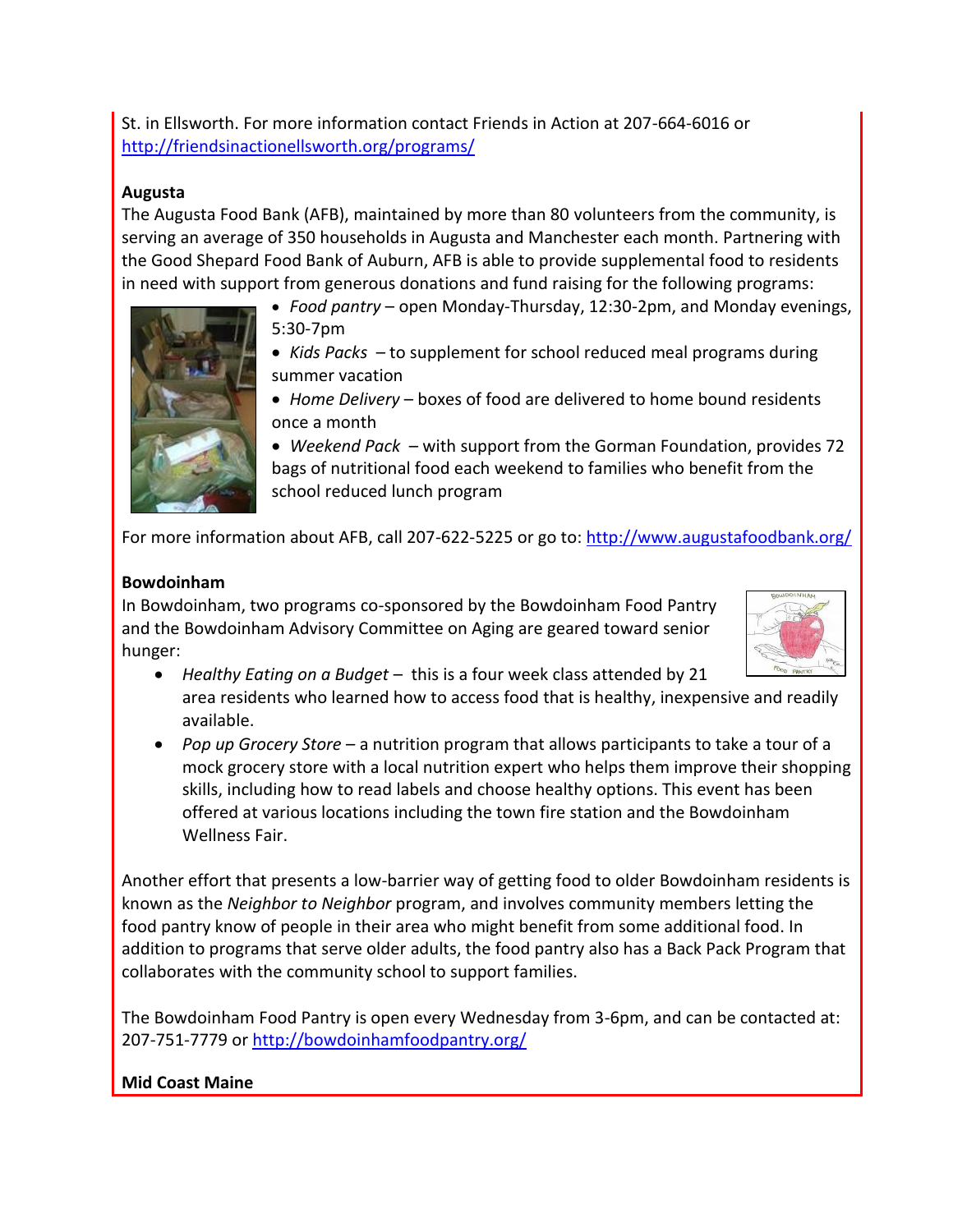St. in Ellsworth. For more information contact Friends in Action at 207-664-6016 or <http://friendsinactionellsworth.org/programs/>

#### **Augusta**

The Augusta Food Bank (AFB), maintained by more than 80 volunteers from the community, is serving an average of 350 households in Augusta and Manchester each month. Partnering with the Good Shepard Food Bank of Auburn, AFB is able to provide supplemental food to residents in need with support from generous donations and fund raising for the following programs:

- *Food pantry* open Monday-Thursday, 12:30-2pm, and Monday evenings, 5:30-7pm
- *Kids Packs*  to supplement for school reduced meal programs during summer vacation
- *Home Delivery* boxes of food are delivered to home bound residents once a month

 *Weekend Pack* – with support from the Gorman Foundation, provides 72 bags of nutritional food each weekend to families who benefit from the school reduced lunch program

For more information about AFB, call 207-622-5225 or go to[: http://www.augustafoodbank.org/](http://www.augustafoodbank.org/)

#### **Bowdoinham**

In Bowdoinham, two programs co-sponsored by the Bowdoinham Food Pantry and the Bowdoinham Advisory Committee on Aging are geared toward senior hunger:



- *Healthy Eating on a Budget* this is a four week class attended by 21 area residents who learned how to access food that is healthy, inexpensive and readily available.
- *Pop up Grocery Store* a nutrition program that allows participants to take a tour of a mock grocery store with a local nutrition expert who helps them improve their shopping skills, including how to read labels and choose healthy options. This event has been offered at various locations including the town fire station and the Bowdoinham Wellness Fair.

Another effort that presents a low-barrier way of getting food to older Bowdoinham residents is known as the *Neighbor to Neighbor* program, and involves community members letting the food pantry know of people in their area who might benefit from some additional food. In addition to programs that serve older adults, the food pantry also has a Back Pack Program that collaborates with the community school to support families.

The Bowdoinham Food Pantry is open every Wednesday from 3-6pm, and can be contacted at: 207-751-7779 or<http://bowdoinhamfoodpantry.org/>

#### **Mid Coast Maine**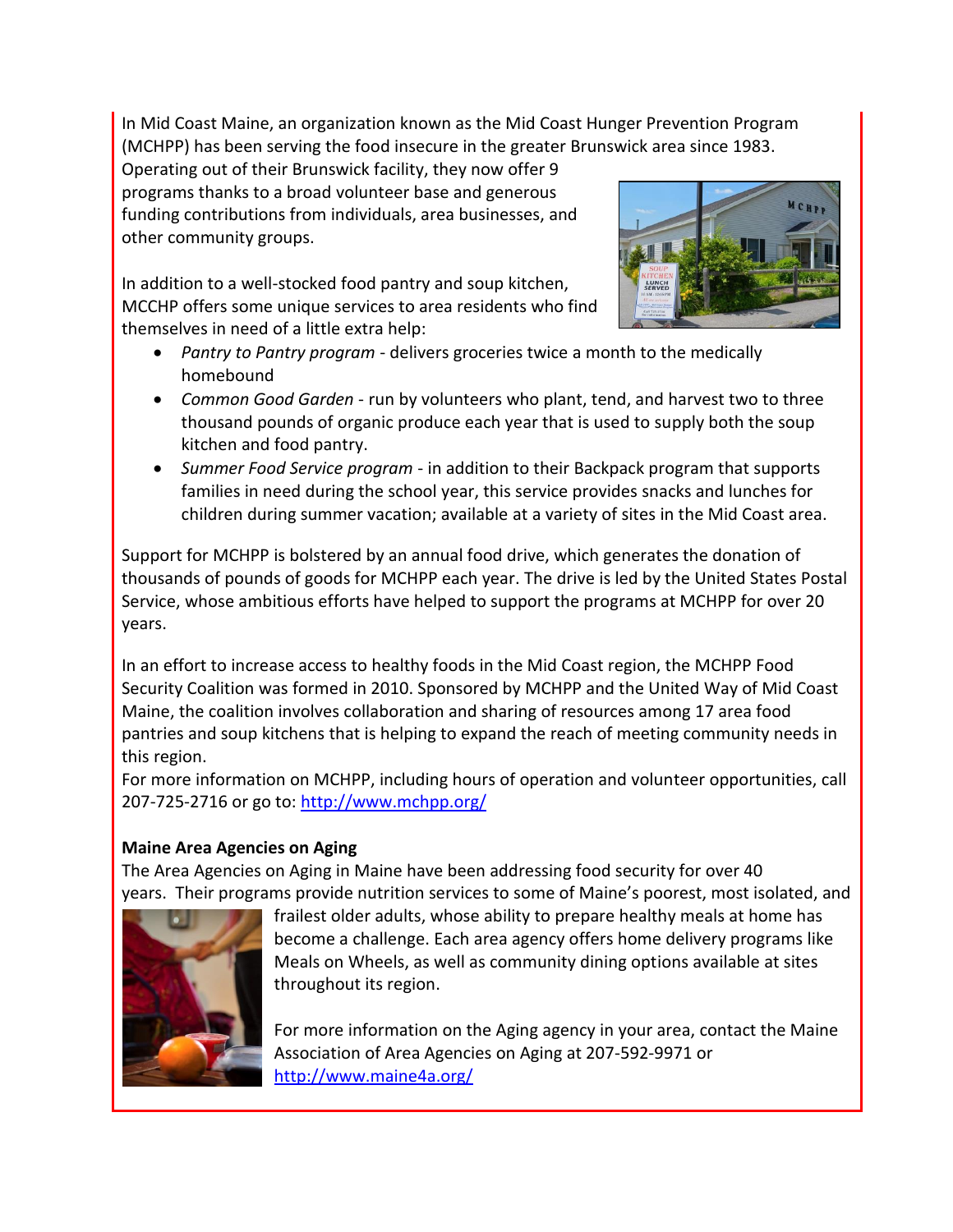In Mid Coast Maine, an organization known as the Mid Coast Hunger Prevention Program (MCHPP) has been serving the food insecure in the greater Brunswick area since 1983.

Operating out of their Brunswick facility, they now offer 9 programs thanks to a broad volunteer base and generous funding contributions from individuals, area businesses, and other community groups.

In addition to a well-stocked food pantry and soup kitchen, MCCHP offers some unique services to area residents who find themselves in need of a little extra help:

- *Pantry to Pantry program* delivers groceries twice a month to the medically homebound
- *Common Good Garden* run by volunteers who plant, tend, and harvest two to three thousand pounds of organic produce each year that is used to supply both the soup kitchen and food pantry.
- *Summer Food Service program* in addition to their Backpack program that supports families in need during the school year, this service provides snacks and lunches for children during summer vacation; available at a variety of sites in the Mid Coast area.

Support for MCHPP is bolstered by an annual food drive, which generates the donation of thousands of pounds of goods for MCHPP each year. The drive is led by the United States Postal Service, whose ambitious efforts have helped to support the programs at MCHPP for over 20 years.

In an effort to increase access to healthy foods in the Mid Coast region, the MCHPP Food Security Coalition was formed in 2010. Sponsored by MCHPP and the United Way of Mid Coast Maine, the coalition involves collaboration and sharing of resources among 17 area food pantries and soup kitchens that is helping to expand the reach of meeting community needs in this region.

For more information on MCHPP, including hours of operation and volunteer opportunities, call 207-725-2716 or go to:<http://www.mchpp.org/>

## **Maine Area Agencies on Aging**

The Area Agencies on Aging in Maine have been addressing food security for over 40 years. Their programs provide nutrition services to some of Maine's poorest, most isolated, and



frailest older adults, whose ability to prepare healthy meals at home has become a challenge. Each area agency offers home delivery programs like Meals on Wheels, as well as community dining options available at sites throughout its region.

For more information on the Aging agency in your area, contact the Maine Association of Area Agencies on Aging at 207-592-9971 or <http://www.maine4a.org/>

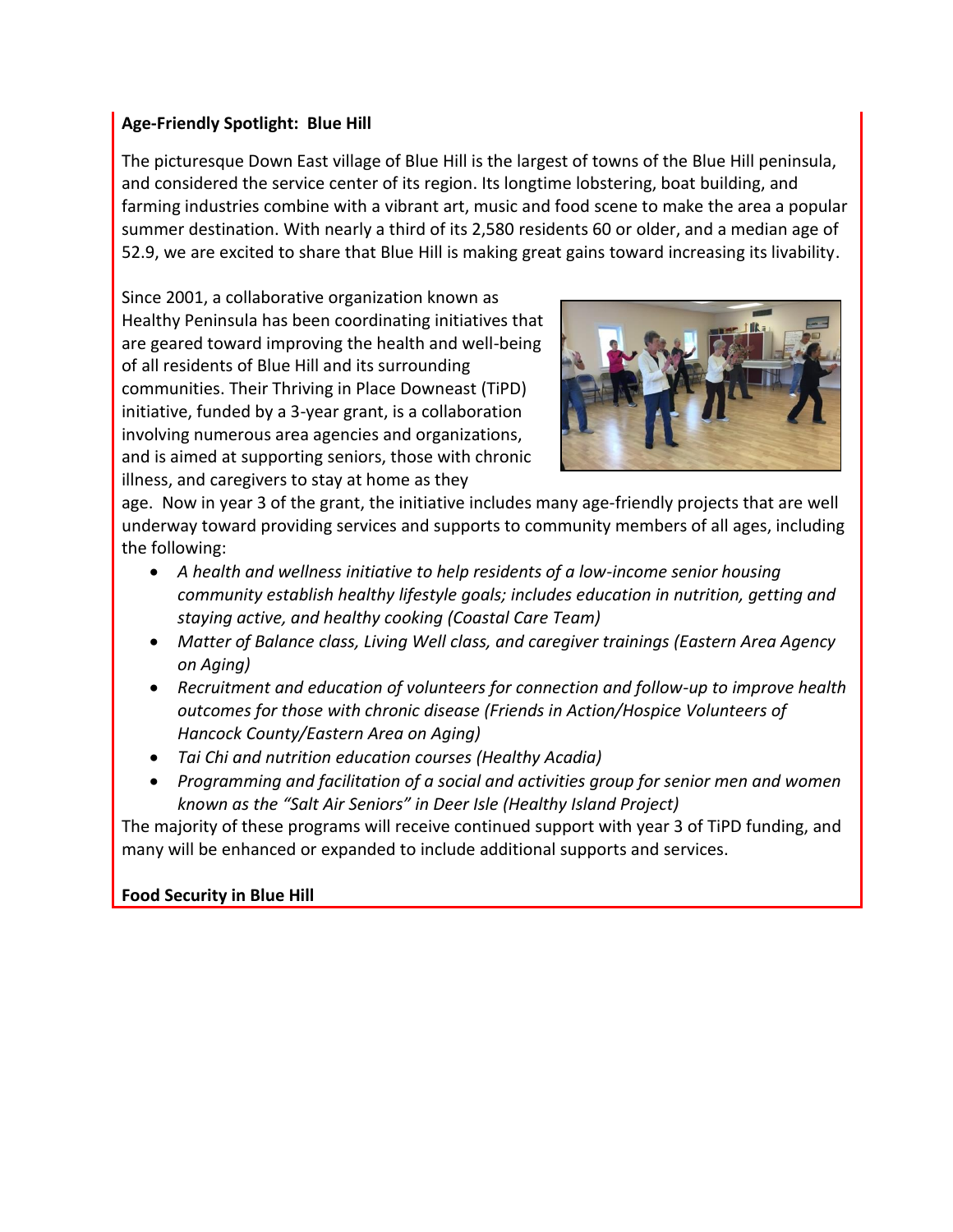#### **Age-Friendly Spotlight: Blue Hill**

The picturesque Down East village of Blue Hill is the largest of towns of the Blue Hill peninsula, and considered the service center of its region. Its longtime lobstering, boat building, and farming industries combine with a vibrant art, music and food scene to make the area a popular summer destination. With nearly a third of its 2,580 residents 60 or older, and a median age of 52.9, we are excited to share that Blue Hill is making great gains toward increasing its livability.

Since 2001, a collaborative organization known as Healthy Peninsula has been coordinating initiatives that are geared toward improving the health and well-being of all residents of Blue Hill and its surrounding communities. Their Thriving in Place Downeast (TiPD) initiative, funded by a 3-year grant, is a collaboration involving numerous area agencies and organizations, and is aimed at supporting seniors, those with chronic illness, and caregivers to stay at home as they



age. Now in year 3 of the grant, the initiative includes many age-friendly projects that are well underway toward providing services and supports to community members of all ages, including the following:

- *A health and wellness initiative to help residents of a low-income senior housing community establish healthy lifestyle goals; includes education in nutrition, getting and staying active, and healthy cooking (Coastal Care Team)*
- *Matter of Balance class, Living Well class, and caregiver trainings (Eastern Area Agency on Aging)*
- *Recruitment and education of volunteers for connection and follow-up to improve health outcomes for those with chronic disease (Friends in Action/Hospice Volunteers of Hancock County/Eastern Area on Aging)*
- *Tai Chi and nutrition education courses (Healthy Acadia)*
- *Programming and facilitation of a social and activities group for senior men and women known as the "Salt Air Seniors" in Deer Isle (Healthy Island Project)*

The majority of these programs will receive continued support with year 3 of TiPD funding, and many will be enhanced or expanded to include additional supports and services.

## **Food Security in Blue Hill**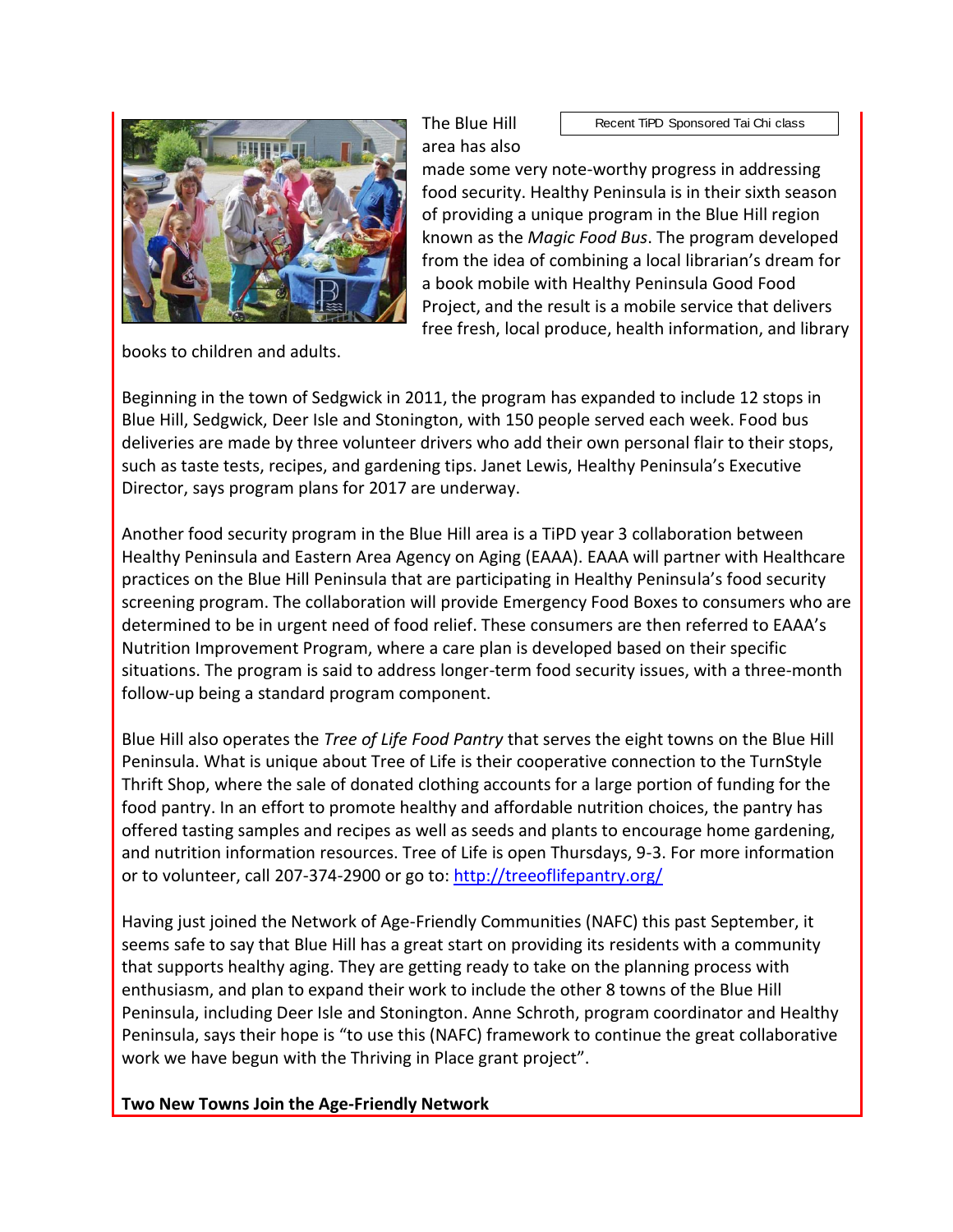

books to children and adults.

Recent TiPD Sponsored Tai Chi class

made some very note-worthy progress in addressing food security. Healthy Peninsula is in their sixth season of providing a unique program in the Blue Hill region known as the *Magic Food Bus*. The program developed from the idea of combining a local librarian's dream for a book mobile with Healthy Peninsula Good Food Project, and the result is a mobile service that delivers free fresh, local produce, health information, and library

Beginning in the town of Sedgwick in 2011, the program has expanded to include 12 stops in Blue Hill, Sedgwick, Deer Isle and Stonington, with 150 people served each week. Food bus deliveries are made by three volunteer drivers who add their own personal flair to their stops, such as taste tests, recipes, and gardening tips. Janet Lewis, Healthy Peninsula's Executive Director, says program plans for 2017 are underway.

Another food security program in the Blue Hill area is a TiPD year 3 collaboration between Healthy Peninsula and Eastern Area Agency on Aging (EAAA). EAAA will partner with Healthcare practices on the Blue Hill Peninsula that are participating in Healthy Peninsula's food security screening program. The collaboration will provide Emergency Food Boxes to consumers who are determined to be in urgent need of food relief. These consumers are then referred to EAAA's Nutrition Improvement Program, where a care plan is developed based on their specific situations. The program is said to address longer-term food security issues, with a three-month follow-up being a standard program component.

Blue Hill also operates the *Tree of Life Food Pantry* that serves the eight towns on the Blue Hill Peninsula. What is unique about Tree of Life is their cooperative connection to the TurnStyle Thrift Shop, where the sale of donated clothing accounts for a large portion of funding for the food pantry. In an effort to promote healthy and affordable nutrition choices, the pantry has offered tasting samples and recipes as well as seeds and plants to encourage home gardening, and nutrition information resources. Tree of Life is open Thursdays, 9-3. For more information or to volunteer, call 207-374-2900 or go to:<http://treeoflifepantry.org/>

Having just joined the Network of Age-Friendly Communities (NAFC) this past September, it seems safe to say that Blue Hill has a great start on providing its residents with a community that supports healthy aging. They are getting ready to take on the planning process with enthusiasm, and plan to expand their work to include the other 8 towns of the Blue Hill Peninsula, including Deer Isle and Stonington. Anne Schroth, program coordinator and Healthy Peninsula, says their hope is "to use this (NAFC) framework to continue the great collaborative work we have begun with the Thriving in Place grant project".

**Two New Towns Join the Age-Friendly Network**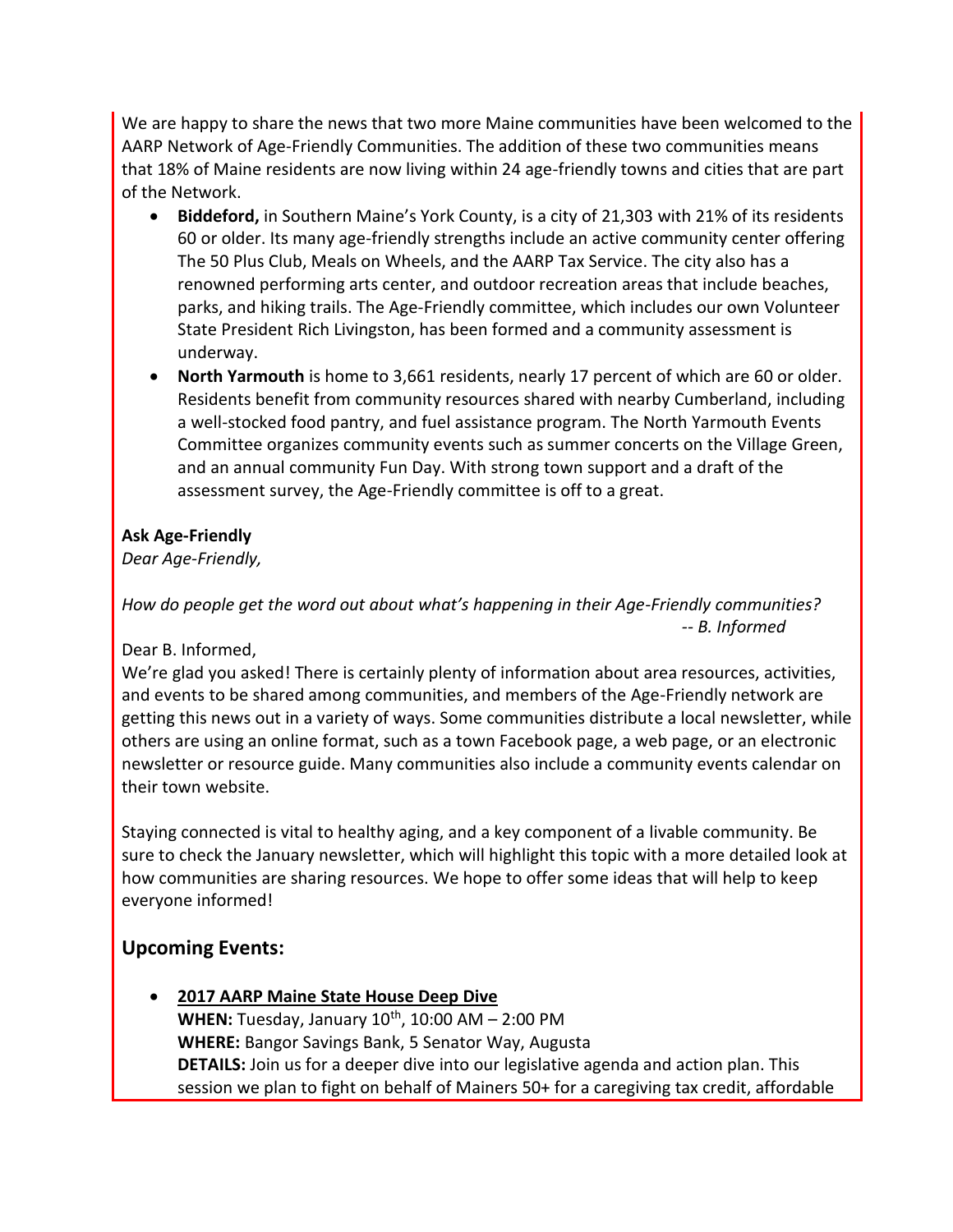We are happy to share the news that two more Maine communities have been welcomed to the AARP Network of Age-Friendly Communities. The addition of these two communities means that 18% of Maine residents are now living within 24 age-friendly towns and cities that are part of the Network.

- **Biddeford,** in Southern Maine's York County, is a city of 21,303 with 21% of its residents 60 or older. Its many age-friendly strengths include an active community center offering The 50 Plus Club, Meals on Wheels, and the AARP Tax Service. The city also has a renowned performing arts center, and outdoor recreation areas that include beaches, parks, and hiking trails. The Age-Friendly committee, which includes our own Volunteer State President Rich Livingston, has been formed and a community assessment is underway.
- **North Yarmouth** is home to 3,661 residents, nearly 17 percent of which are 60 or older. Residents benefit from community resources shared with nearby Cumberland, including a well-stocked food pantry, and fuel assistance program. The North Yarmouth Events Committee organizes community events such as summer concerts on the Village Green, and an annual community Fun Day. With strong town support and a draft of the assessment survey, the Age-Friendly committee is off to a great.

#### **Ask Age-Friendly**

*Dear Age-Friendly,*

*How do people get the word out about what's happening in their Age-Friendly communities? -- B. Informed* 

Dear B. Informed,

We're glad you asked! There is certainly plenty of information about area resources, activities, and events to be shared among communities, and members of the Age-Friendly network are getting this news out in a variety of ways. Some communities distribute a local newsletter, while others are using an online format, such as a town Facebook page, a web page, or an electronic newsletter or resource guide. Many communities also include a community events calendar on their town website.

Staying connected is vital to healthy aging, and a key component of a livable community. Be sure to check the January newsletter, which will highlight this topic with a more detailed look at how communities are sharing resources. We hope to offer some ideas that will help to keep everyone informed!

# **Upcoming Events:**

 **2017 AARP Maine State House Deep Dive WHEN:** Tuesday, January  $10^{th}$ ,  $10:00$  AM  $- 2:00$  PM **WHERE:** Bangor Savings Bank, 5 Senator Way, Augusta **DETAILS:** Join us for a deeper dive into our legislative agenda and action plan. This session we plan to fight on behalf of Mainers 50+ for a caregiving tax credit, affordable